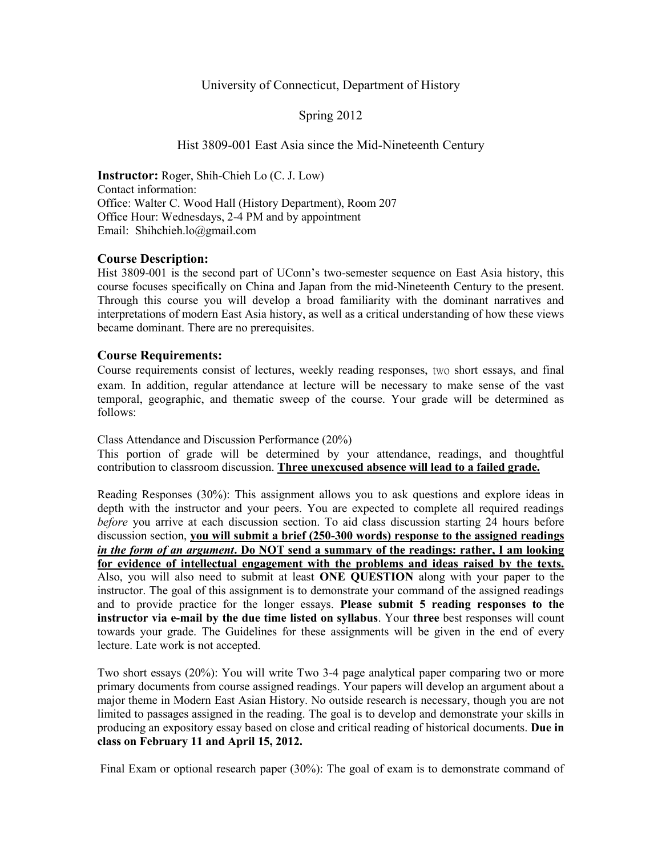### University of Connecticut, Department of History

Spring 2012

### Hist 3809-001 East Asia since the Mid-Nineteenth Century

**Instructor:** Roger, Shih-Chieh Lo (C. J. Low) Contact information: Office: Walter C. Wood Hall (History Department), Room 207 Office Hour: Wednesdays, 2-4 PM and by appointment Email: Shihchieh.lo@gmail.com

## **Course Description:**

Hist 3809-001 is the second part of UConn's two-semester sequence on East Asia history, this course focuses specifically on China and Japan from the mid-Nineteenth Century to the present. Through this course you will develop a broad familiarity with the dominant narratives and interpretations of modern East Asia history, as well as a critical understanding of how these views became dominant. There are no prerequisites.

### **Course Requirements:**

Course requirements consist of lectures, weekly reading responses, two short essays, and final exam. In addition, regular attendance at lecture will be necessary to make sense of the vast temporal, geographic, and thematic sweep of the course. Your grade will be determined as follows:

Class Attendance and Discussion Performance (20%)

This portion of grade will be determined by your attendance, readings, and thoughtful contribution to classroom discussion. **Three unexcused absence will lead to a failed grade.**

Reading Responses (30%): This assignment allows you to ask questions and explore ideas in depth with the instructor and your peers. You are expected to complete all required readings *before* you arrive at each discussion section. To aid class discussion starting 24 hours before discussion section, **you will submit a brief (250-300 words) response to the assigned readings** *in the form of an argument***. Do NOT send a summary of the readings: rather, I am looking for evidence of intellectual engagement with the problems and ideas raised by the texts.**  Also, you will also need to submit at least **ONE QUESTION** along with your paper to the instructor. The goal of this assignment is to demonstrate your command of the assigned readings and to provide practice for the longer essays. **Please submit 5 reading responses to the instructor via e-mail by the due time listed on syllabus**. Your **three** best responses will count towards your grade. The Guidelines for these assignments will be given in the end of every lecture. Late work is not accepted.

Two short essays (20%): You will write Two 3-4 page analytical paper comparing two or more primary documents from course assigned readings. Your papers will develop an argument about a major theme in Modern East Asian History. No outside research is necessary, though you are not limited to passages assigned in the reading. The goal is to develop and demonstrate your skills in producing an expository essay based on close and critical reading of historical documents. **Due in class on February 11 and April 15, 2012.**

Final Exam or optional research paper (30%): The goal of exam is to demonstrate command of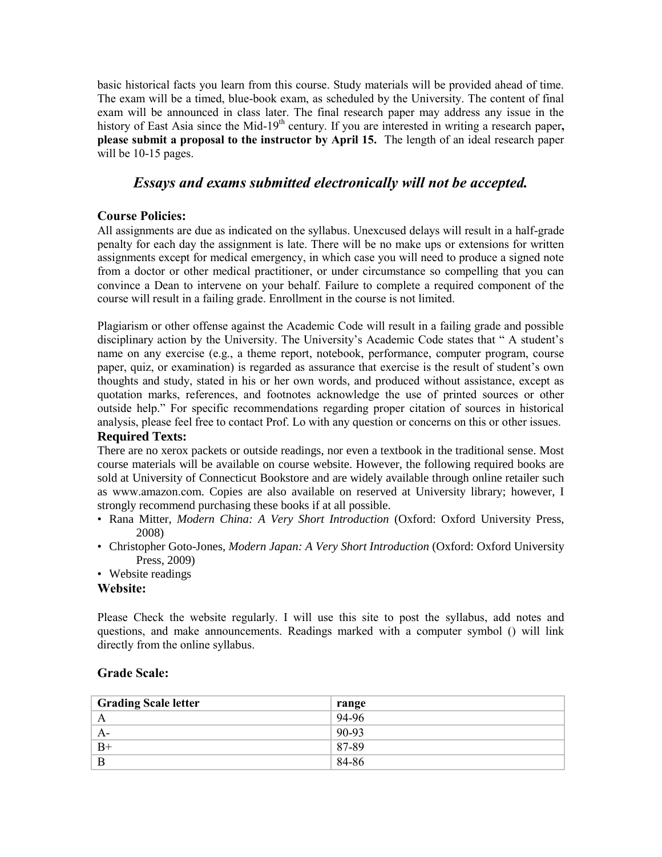basic historical facts you learn from this course. Study materials will be provided ahead of time. The exam will be a timed, blue-book exam, as scheduled by the University. The content of final exam will be announced in class later. The final research paper may address any issue in the history of East Asia since the Mid-19<sup>th</sup> century. If you are interested in writing a research paper, **please submit a proposal to the instructor by April 15.** The length of an ideal research paper will be 10-15 pages.

# *Essays and exams submitted electronically will not be accepted.*

# **Course Policies:**

All assignments are due as indicated on the syllabus. Unexcused delays will result in a half-grade penalty for each day the assignment is late. There will be no make ups or extensions for written assignments except for medical emergency, in which case you will need to produce a signed note from a doctor or other medical practitioner, or under circumstance so compelling that you can convince a Dean to intervene on your behalf. Failure to complete a required component of the course will result in a failing grade. Enrollment in the course is not limited.

Plagiarism or other offense against the Academic Code will result in a failing grade and possible disciplinary action by the University. The University's Academic Code states that " A student's name on any exercise (e.g., a theme report, notebook, performance, computer program, course paper, quiz, or examination) is regarded as assurance that exercise is the result of student's own thoughts and study, stated in his or her own words, and produced without assistance, except as quotation marks, references, and footnotes acknowledge the use of printed sources or other outside help." For specific recommendations regarding proper citation of sources in historical analysis, please feel free to contact Prof. Lo with any question or concerns on this or other issues.

## **Required Texts:**

There are no xerox packets or outside readings, nor even a textbook in the traditional sense. Most course materials will be available on course website. However, the following required books are sold at University of Connecticut Bookstore and are widely available through online retailer such as www.amazon.com. Copies are also available on reserved at University library; however, I strongly recommend purchasing these books if at all possible.

- Rana Mitter, *Modern China: A Very Short Introduction* (Oxford: Oxford University Press, 2008)
- Christopher Goto-Jones, *Modern Japan: A Very Short Introduction* (Oxford: Oxford University Press, 2009)
- Website readings

## **Website:**

Please Check the website regularly. I will use this site to post the syllabus, add notes and questions, and make announcements. Readings marked with a computer symbol () will link directly from the online syllabus.

## **Grade Scale:**

| <b>Grading Scale letter</b> | range |
|-----------------------------|-------|
|                             | 94-96 |
| A-                          | 90-93 |
| $B+$                        | 87-89 |
| B                           | 84-86 |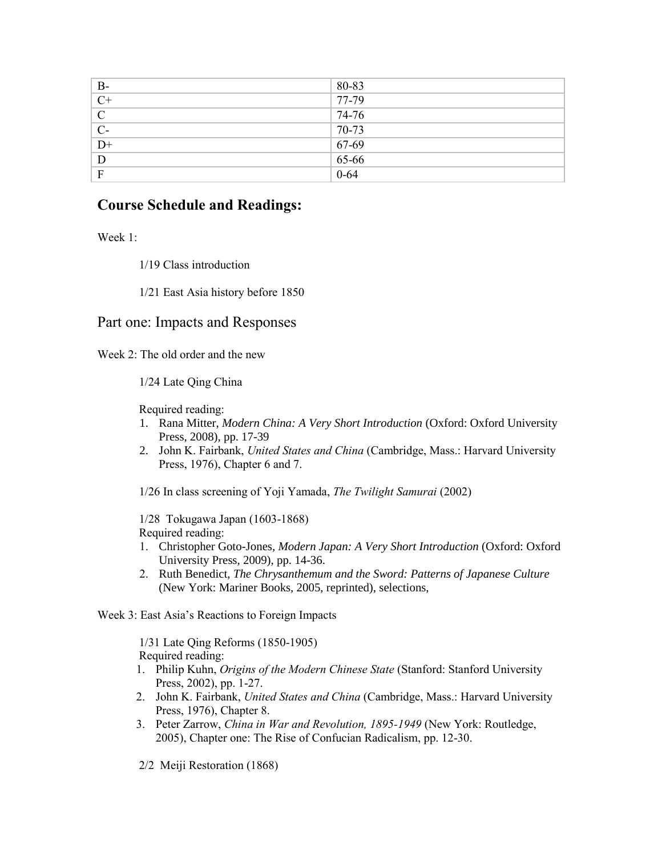| $B-$             | 80-83     |
|------------------|-----------|
| $\overline{C^+}$ | 77-79     |
| $\overline{C}$   | 74-76     |
| $C-$             | 70-73     |
| $\overline{D}$   | $67-69$   |
| D                | $65 - 66$ |
| F                | $0 - 64$  |

# **Course Schedule and Readings:**

Week 1:

1/19 Class introduction

1/21 East Asia history before 1850

# Part one: Impacts and Responses

Week 2: The old order and the new

1/24 Late Qing China

Required reading:

- 1. Rana Mitter, *Modern China: A Very Short Introduction* (Oxford: Oxford University Press, 2008), pp. 17-39
- 2. John K. Fairbank, *United States and China* (Cambridge, Mass.: Harvard University Press, 1976), Chapter 6 and 7.

1/26 In class screening of Yoji Yamada, *The Twilight Samurai* (2002)

 1/28 Tokugawa Japan (1603-1868) Required reading:

- 1. Christopher Goto-Jones, *Modern Japan: A Very Short Introduction* (Oxford: Oxford University Press, 2009), pp. 14-36.
- 2. Ruth Benedict, *The Chrysanthemum and the Sword: Patterns of Japanese Culture*  (New York: Mariner Books, 2005, reprinted), selections,

Week 3: East Asia's Reactions to Foreign Impacts

 1/31 Late Qing Reforms (1850-1905) Required reading:

- 1. Philip Kuhn, *Origins of the Modern Chinese State* (Stanford: Stanford University Press, 2002), pp. 1-27.
- 2. John K. Fairbank, *United States and China* (Cambridge, Mass.: Harvard University Press, 1976), Chapter 8.
- 3. Peter Zarrow, *China in War and Revolution, 1895-1949* (New York: Routledge, 2005), Chapter one: The Rise of Confucian Radicalism, pp. 12-30.
- 2/2 Meiji Restoration (1868)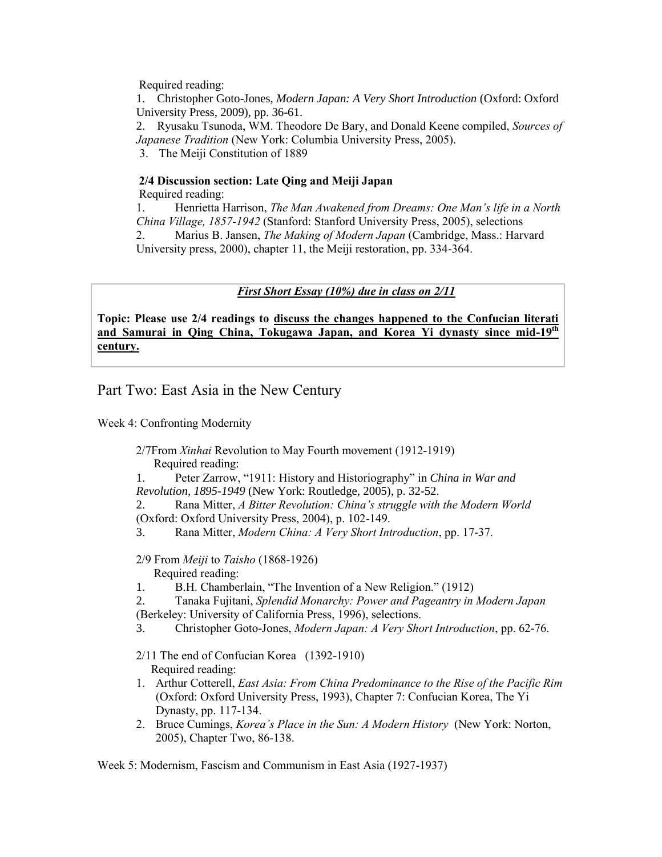Required reading:

1. Christopher Goto-Jones, *Modern Japan: A Very Short Introduction* (Oxford: Oxford University Press, 2009), pp. 36-61.

2. Ryusaku Tsunoda, WM. Theodore De Bary, and Donald Keene compiled, *Sources of Japanese Tradition* (New York: Columbia University Press, 2005).

3. The Meiji Constitution of 1889

# **2/4 Discussion section: Late Qing and Meiji Japan**

Required reading:

1. Henrietta Harrison, *The Man Awakened from Dreams: One Man's life in a North China Village, 1857-1942* (Stanford: Stanford University Press, 2005), selections 2. Marius B. Jansen, *The Making of Modern Japan* (Cambridge, Mass.: Harvard University press, 2000), chapter 11, the Meiji restoration, pp. 334-364.

# *First Short Essay (10%) due in class on 2/11*

**Topic: Please use 2/4 readings to discuss the changes happened to the Confucian literati and Samurai in Qing China, Tokugawa Japan, and Korea Yi dynasty since mid-19th century.**

# Part Two: East Asia in the New Century

Week 4: Confronting Modernity

 2/7From *Xinhai* Revolution to May Fourth movement (1912-1919) Required reading:

1. Peter Zarrow, "1911: History and Historiography" in *China in War and Revolution, 1895-1949* (New York: Routledge, 2005), p. 32-52.

2. Rana Mitter, *A Bitter Revolution: China's struggle with the Modern World* (Oxford: Oxford University Press, 2004), p. 102-149.

3. Rana Mitter, *Modern China: A Very Short Introduction*, pp. 17-37.

 2/9 From *Meiji* to *Taisho* (1868-1926) Required reading:

1. B.H. Chamberlain, "The Invention of a New Religion." (1912)

2. Tanaka Fujitani, *Splendid Monarchy: Power and Pageantry in Modern Japan* (Berkeley: University of California Press, 1996), selections.

- 3. Christopher Goto-Jones, *Modern Japan: A Very Short Introduction*, pp. 62-76.
- 2/11 The end of Confucian Korea (1392-1910) Required reading:
- 1. Arthur Cotterell, *East Asia: From China Predominance to the Rise of the Pacific Rim* (Oxford: Oxford University Press, 1993), Chapter 7: Confucian Korea, The Yi Dynasty, pp. 117-134.
- 2. Bruce Cumings, *Korea's Place in the Sun: A Modern History* (New York: Norton, 2005), Chapter Two, 86-138.

Week 5: Modernism, Fascism and Communism in East Asia (1927-1937)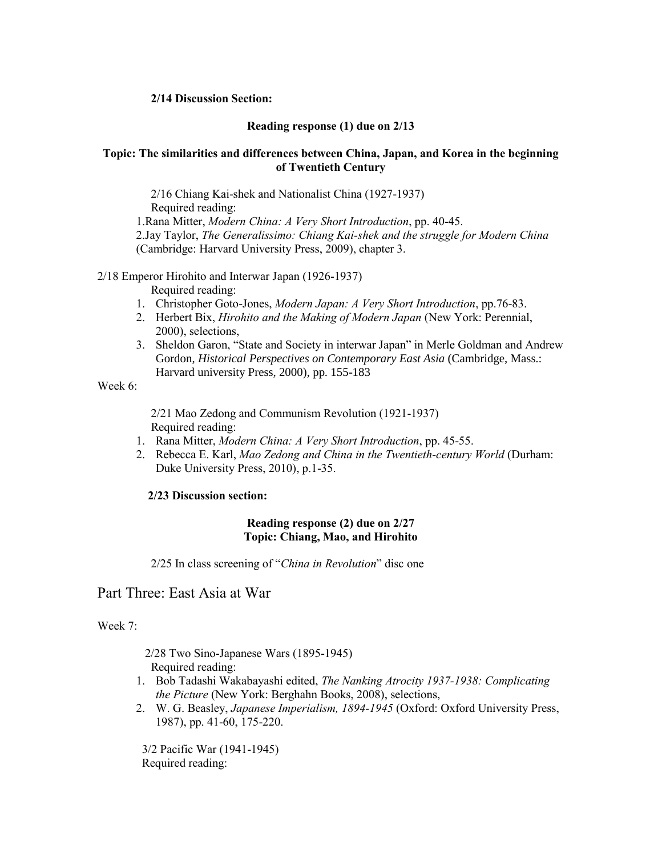### **2/14 Discussion Section:**

### **Reading response (1) due on 2/13**

### **Topic: The similarities and differences between China, Japan, and Korea in the beginning of Twentieth Century**

 2/16 Chiang Kai-shek and Nationalist China (1927-1937) Required reading:

1.Rana Mitter, *Modern China: A Very Short Introduction*, pp. 40-45. 2.Jay Taylor, *The Generalissimo: Chiang Kai-shek and the struggle for Modern China*  (Cambridge: Harvard University Press, 2009), chapter 3.

## 2/18 Emperor Hirohito and Interwar Japan (1926-1937)

Required reading:

- 1. Christopher Goto-Jones, *Modern Japan: A Very Short Introduction*, pp.76-83.
- 2. Herbert Bix, *Hirohito and the Making of Modern Japan* (New York: Perennial, 2000), selections,
- 3. Sheldon Garon, "State and Society in interwar Japan" in Merle Goldman and Andrew Gordon, *Historical Perspectives on Contemporary East Asia* (Cambridge, Mass.: Harvard university Press, 2000), pp. 155-183

Week 6:

 2/21 Mao Zedong and Communism Revolution (1921-1937) Required reading:

- 1. Rana Mitter, *Modern China: A Very Short Introduction*, pp. 45-55.
- 2. Rebecca E. Karl, *Mao Zedong and China in the Twentieth-century World* (Durham: Duke University Press, 2010), p.1-35.

### **2/23 Discussion section:**

### **Reading response (2) due on 2/27 Topic: Chiang, Mao, and Hirohito**

2/25 In class screening of "*China in Revolution*" disc one

# Part Three: East Asia at War

### Week 7:

 2/28 Two Sino-Japanese Wars (1895-1945) Required reading:

- 1. Bob Tadashi Wakabayashi edited, *The Nanking Atrocity 1937-1938: Complicating the Picture* (New York: Berghahn Books, 2008), selections,
- 2. W. G. Beasley, *Japanese Imperialism, 1894-1945* (Oxford: Oxford University Press, 1987), pp. 41-60, 175-220.

 3/2 Pacific War (1941-1945) Required reading: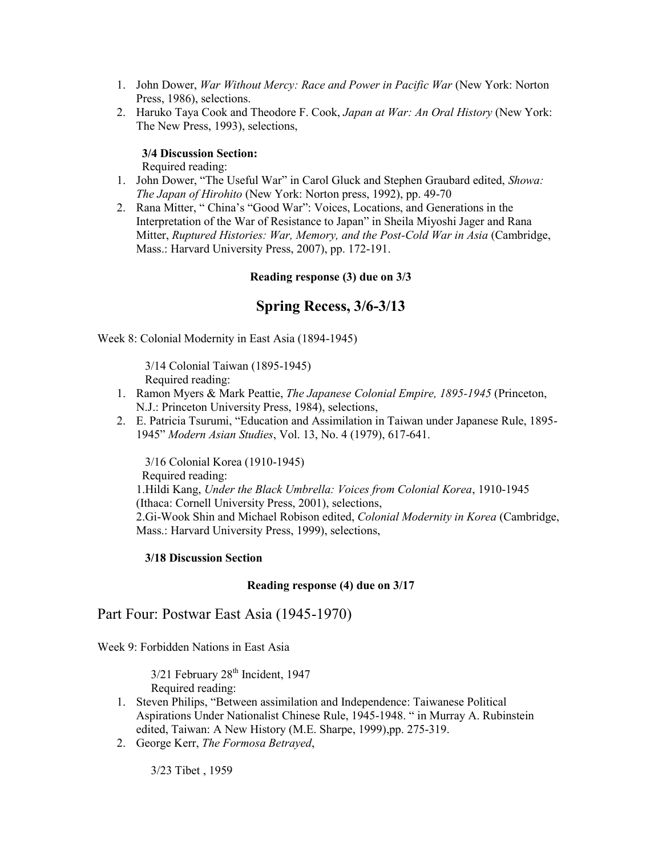- 1. John Dower, *War Without Mercy: Race and Power in Pacific War* (New York: Norton Press, 1986), selections.
- 2. Haruko Taya Cook and Theodore F. Cook, *Japan at War: An Oral History* (New York: The New Press, 1993), selections,

### **3/4 Discussion Section:**

Required reading:

- 1. John Dower, "The Useful War" in Carol Gluck and Stephen Graubard edited, *Showa: The Japan of Hirohito* (New York: Norton press, 1992), pp. 49-70
- 2. Rana Mitter, " China's "Good War": Voices, Locations, and Generations in the Interpretation of the War of Resistance to Japan" in Sheila Miyoshi Jager and Rana Mitter, *Ruptured Histories: War, Memory, and the Post-Cold War in Asia* (Cambridge, Mass.: Harvard University Press, 2007), pp. 172-191.

## **Reading response (3) due on 3/3**

# **Spring Recess, 3/6-3/13**

Week 8: Colonial Modernity in East Asia (1894-1945)

 3/14 Colonial Taiwan (1895-1945) Required reading:

- 1. Ramon Myers & Mark Peattie, *The Japanese Colonial Empire, 1895-1945* (Princeton, N.J.: Princeton University Press, 1984), selections,
- 2. E. Patricia Tsurumi, "Education and Assimilation in Taiwan under Japanese Rule, 1895- 1945" *Modern Asian Studies*, Vol. 13, No. 4 (1979), 617-641.

 3/16 Colonial Korea (1910-1945) Required reading: 1.Hildi Kang, *Under the Black Umbrella: Voices from Colonial Korea*, 1910-1945 (Ithaca: Cornell University Press, 2001), selections, 2.Gi-Wook Shin and Michael Robison edited, *Colonial Modernity in Korea* (Cambridge, Mass.: Harvard University Press, 1999), selections,

### **3/18 Discussion Section**

### **Reading response (4) due on 3/17**

Part Four: Postwar East Asia (1945-1970)

Week 9: Forbidden Nations in East Asia

3/21 February 28<sup>th</sup> Incident, 1947 Required reading:

- 1. Steven Philips, "Between assimilation and Independence: Taiwanese Political Aspirations Under Nationalist Chinese Rule, 1945-1948. " in Murray A. Rubinstein edited, Taiwan: A New History (M.E. Sharpe, 1999),pp. 275-319.
- 2. George Kerr, *The Formosa Betrayed*,

3/23 Tibet , 1959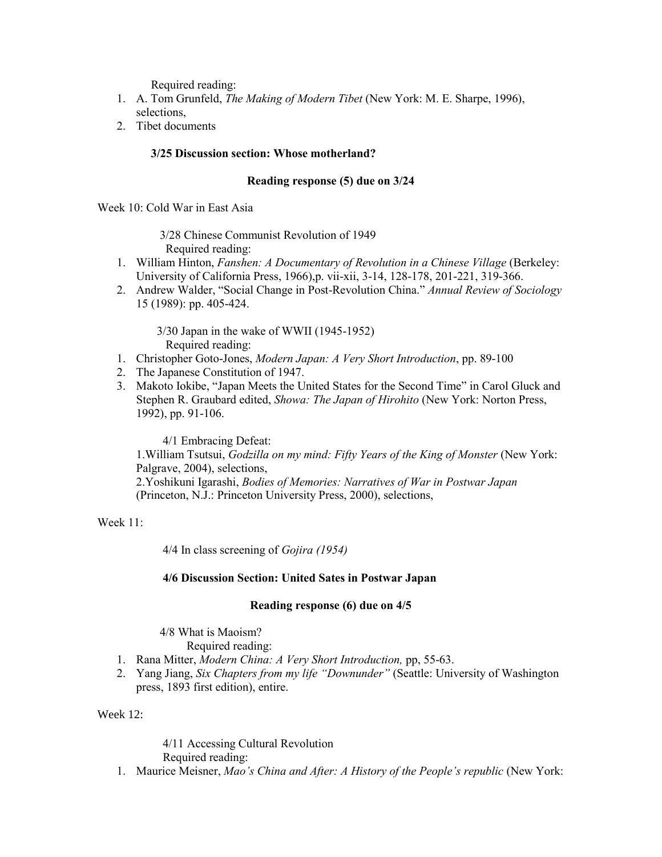Required reading:

- 1. A. Tom Grunfeld, *The Making of Modern Tibet* (New York: M. E. Sharpe, 1996), selections,
- 2. Tibet documents

### **3/25 Discussion section: Whose motherland?**

#### **Reading response (5) due on 3/24**

Week 10: Cold War in East Asia

 3/28 Chinese Communist Revolution of 1949 Required reading:

- 1. William Hinton, *Fanshen: A Documentary of Revolution in a Chinese Village* (Berkeley: University of California Press, 1966),p. vii-xii, 3-14, 128-178, 201-221, 319-366.
- 2. Andrew Walder, "Social Change in Post-Revolution China." *Annual Review of Sociology*  15 (1989): pp. 405-424.

 3/30 Japan in the wake of WWII (1945-1952) Required reading:

- 1. Christopher Goto-Jones, *Modern Japan: A Very Short Introduction*, pp. 89-100
- 2. The Japanese Constitution of 1947.
- 3. Makoto Iokibe, "Japan Meets the United States for the Second Time" in Carol Gluck and Stephen R. Graubard edited, *Showa: The Japan of Hirohito* (New York: Norton Press, 1992), pp. 91-106.

4/1 Embracing Defeat:

1.William Tsutsui, *Godzilla on my mind: Fifty Years of the King of Monster* (New York: Palgrave, 2004), selections, 2.Yoshikuni Igarashi, *Bodies of Memories: Narratives of War in Postwar Japan* (Princeton, N.J.: Princeton University Press, 2000), selections,

Week 11:

4/4 In class screening of *Gojira (1954)*

### **4/6 Discussion Section: United Sates in Postwar Japan**

#### **Reading response (6) due on 4/5**

4/8 What is Maoism?

Required reading:

- 1. Rana Mitter, *Modern China: A Very Short Introduction,* pp, 55-63.
- 2. Yang Jiang, *Six Chapters from my life "Downunder"* (Seattle: University of Washington press, 1893 first edition), entire.

Week 12:

 4/11 Accessing Cultural Revolution Required reading:

1. Maurice Meisner, *Mao's China and After: A History of the People's republic* (New York: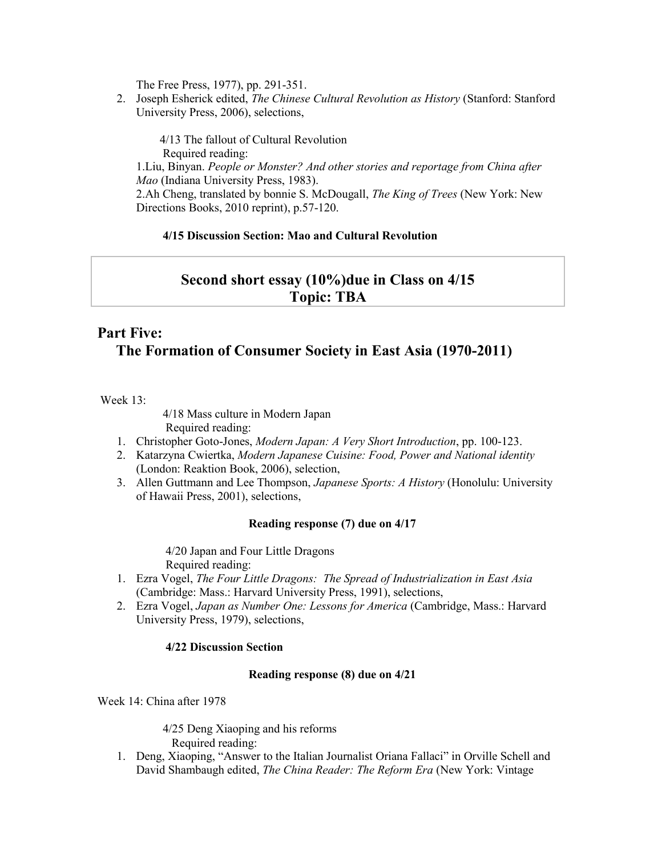The Free Press, 1977), pp. 291-351.

2. Joseph Esherick edited, *The Chinese Cultural Revolution as History* (Stanford: Stanford University Press, 2006), selections,

 4/13 The fallout of Cultural Revolution Required reading: 1.Liu, Binyan. *People or Monster? And other stories and reportage from China after Mao* (Indiana University Press, 1983). 2.Ah Cheng, translated by bonnie S. McDougall, *The King of Trees* (New York: New Directions Books, 2010 reprint), p.57-120.

## **4/15 Discussion Section: Mao and Cultural Revolution**

# **Second short essay (10%)due in Class on 4/15 Topic: TBA**

# **Part Five: The Formation of Consumer Society in East Asia (1970-2011)**

Week 13:

4/18 Mass culture in Modern Japan

Required reading:

- 1. Christopher Goto-Jones, *Modern Japan: A Very Short Introduction*, pp. 100-123.
- 2. Katarzyna Cwiertka, *Modern Japanese Cuisine: Food, Power and National identity*  (London: Reaktion Book, 2006), selection,
- 3. Allen Guttmann and Lee Thompson, *Japanese Sports: A History* (Honolulu: University of Hawaii Press, 2001), selections,

### **Reading response (7) due on 4/17**

 4/20 Japan and Four Little Dragons Required reading:

- 1. Ezra Vogel, *The Four Little Dragons: The Spread of Industrialization in East Asia*  (Cambridge: Mass.: Harvard University Press, 1991), selections,
- 2. Ezra Vogel, *Japan as Number One: Lessons for America* (Cambridge, Mass.: Harvard University Press, 1979), selections,

### **4/22 Discussion Section**

### **Reading response (8) due on 4/21**

Week 14: China after 1978

 4/25 Deng Xiaoping and his reforms Required reading:

1. Deng, Xiaoping, "Answer to the Italian Journalist Oriana Fallaci" in Orville Schell and David Shambaugh edited, *The China Reader: The Reform Era* (New York: Vintage